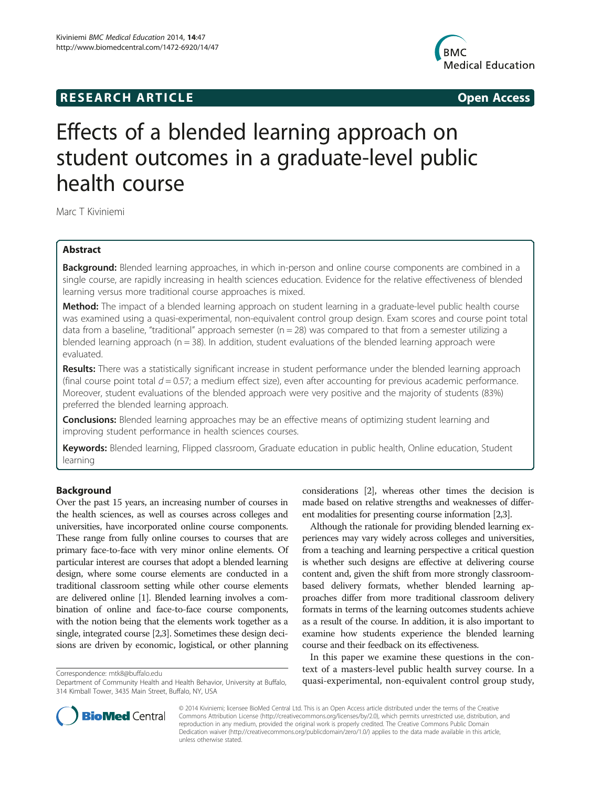## **RESEARCH ARTICLE Example 2014 12:25 Open Access**



# Effects of a blended learning approach on student outcomes in a graduate-level public health course

Marc T Kiviniemi

## Abstract

Background: Blended learning approaches, in which in-person and online course components are combined in a single course, are rapidly increasing in health sciences education. Evidence for the relative effectiveness of blended learning versus more traditional course approaches is mixed.

Method: The impact of a blended learning approach on student learning in a graduate-level public health course was examined using a quasi-experimental, non-equivalent control group design. Exam scores and course point total data from a baseline, "traditional" approach semester  $(n = 28)$  was compared to that from a semester utilizing a blended learning approach ( $n = 38$ ). In addition, student evaluations of the blended learning approach were evaluated.

Results: There was a statistically significant increase in student performance under the blended learning approach (final course point total  $d = 0.57$ ; a medium effect size), even after accounting for previous academic performance. Moreover, student evaluations of the blended approach were very positive and the majority of students (83%) preferred the blended learning approach.

**Conclusions:** Blended learning approaches may be an effective means of optimizing student learning and improving student performance in health sciences courses.

Keywords: Blended learning, Flipped classroom, Graduate education in public health, Online education, Student learning

#### Background

Over the past 15 years, an increasing number of courses in the health sciences, as well as courses across colleges and universities, have incorporated online course components. These range from fully online courses to courses that are primary face-to-face with very minor online elements. Of particular interest are courses that adopt a blended learning design, where some course elements are conducted in a traditional classroom setting while other course elements are delivered online [\[1](#page-5-0)]. Blended learning involves a combination of online and face-to-face course components, with the notion being that the elements work together as a single, integrated course [\[2,3\]](#page-5-0). Sometimes these design decisions are driven by economic, logistical, or other planning



Although the rationale for providing blended learning experiences may vary widely across colleges and universities, from a teaching and learning perspective a critical question is whether such designs are effective at delivering course content and, given the shift from more strongly classroombased delivery formats, whether blended learning approaches differ from more traditional classroom delivery formats in terms of the learning outcomes students achieve as a result of the course. In addition, it is also important to examine how students experience the blended learning course and their feedback on its effectiveness.

In this paper we examine these questions in the context of a masters-level public health survey course. In a Correspondence: [mtk8@buffalo.edu](mailto:mtk8@buffalo.edu)<br>Department of Community Health and Health Behavior, University at Buffalo, quasi-experimental, non-equivalent control group study,



© 2014 Kiviniemi; licensee BioMed Central Ltd. This is an Open Access article distributed under the terms of the Creative Commons Attribution License [\(http://creativecommons.org/licenses/by/2.0\)](http://creativecommons.org/licenses/by/2.0), which permits unrestricted use, distribution, and reproduction in any medium, provided the original work is properly credited. The Creative Commons Public Domain Dedication waiver [\(http://creativecommons.org/publicdomain/zero/1.0/](http://creativecommons.org/publicdomain/zero/1.0/)) applies to the data made available in this article, unless otherwise stated.

Department of Community Health and Health Behavior, University at Buffalo, 314 Kimball Tower, 3435 Main Street, Buffalo, NY, USA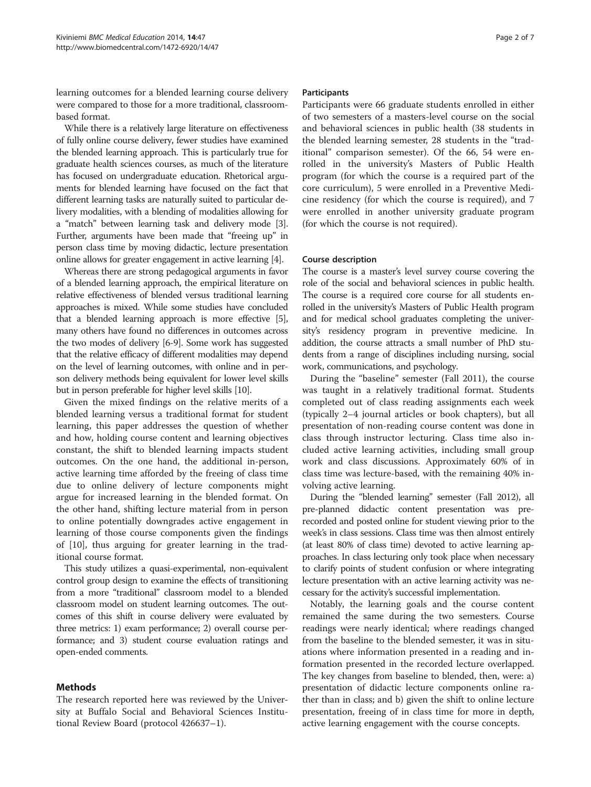<span id="page-1-0"></span>learning outcomes for a blended learning course delivery were compared to those for a more traditional, classroombased format.

While there is a relatively large literature on effectiveness of fully online course delivery, fewer studies have examined the blended learning approach. This is particularly true for graduate health sciences courses, as much of the literature has focused on undergraduate education. Rhetorical arguments for blended learning have focused on the fact that different learning tasks are naturally suited to particular delivery modalities, with a blending of modalities allowing for a "match" between learning task and delivery mode [[3](#page-5-0)]. Further, arguments have been made that "freeing up" in person class time by moving didactic, lecture presentation online allows for greater engagement in active learning [\[4\]](#page-5-0).

Whereas there are strong pedagogical arguments in favor of a blended learning approach, the empirical literature on relative effectiveness of blended versus traditional learning approaches is mixed. While some studies have concluded that a blended learning approach is more effective [[5](#page-5-0)], many others have found no differences in outcomes across the two modes of delivery [[6](#page-5-0)-[9\]](#page-5-0). Some work has suggested that the relative efficacy of different modalities may depend on the level of learning outcomes, with online and in person delivery methods being equivalent for lower level skills but in person preferable for higher level skills [\[10\]](#page-5-0).

Given the mixed findings on the relative merits of a blended learning versus a traditional format for student learning, this paper addresses the question of whether and how, holding course content and learning objectives constant, the shift to blended learning impacts student outcomes. On the one hand, the additional in-person, active learning time afforded by the freeing of class time due to online delivery of lecture components might argue for increased learning in the blended format. On the other hand, shifting lecture material from in person to online potentially downgrades active engagement in learning of those course components given the findings of [[10\]](#page-5-0), thus arguing for greater learning in the traditional course format.

This study utilizes a quasi-experimental, non-equivalent control group design to examine the effects of transitioning from a more "traditional" classroom model to a blended classroom model on student learning outcomes. The outcomes of this shift in course delivery were evaluated by three metrics: 1) exam performance; 2) overall course performance; and 3) student course evaluation ratings and open-ended comments.

#### Methods

The research reported here was reviewed by the University at Buffalo Social and Behavioral Sciences Institutional Review Board (protocol 426637–1).

#### Participants

Participants were 66 graduate students enrolled in either of two semesters of a masters-level course on the social and behavioral sciences in public health (38 students in the blended learning semester, 28 students in the "traditional" comparison semester). Of the 66, 54 were enrolled in the university's Masters of Public Health program (for which the course is a required part of the core curriculum), 5 were enrolled in a Preventive Medicine residency (for which the course is required), and 7 were enrolled in another university graduate program (for which the course is not required).

#### Course description

The course is a master's level survey course covering the role of the social and behavioral sciences in public health. The course is a required core course for all students enrolled in the university's Masters of Public Health program and for medical school graduates completing the university's residency program in preventive medicine. In addition, the course attracts a small number of PhD students from a range of disciplines including nursing, social work, communications, and psychology.

During the "baseline" semester (Fall 2011), the course was taught in a relatively traditional format. Students completed out of class reading assignments each week (typically 2–4 journal articles or book chapters), but all presentation of non-reading course content was done in class through instructor lecturing. Class time also included active learning activities, including small group work and class discussions. Approximately 60% of in class time was lecture-based, with the remaining 40% involving active learning.

During the "blended learning" semester (Fall 2012), all pre-planned didactic content presentation was prerecorded and posted online for student viewing prior to the week's in class sessions. Class time was then almost entirely (at least 80% of class time) devoted to active learning approaches. In class lecturing only took place when necessary to clarify points of student confusion or where integrating lecture presentation with an active learning activity was necessary for the activity's successful implementation.

Notably, the learning goals and the course content remained the same during the two semesters. Course readings were nearly identical; where readings changed from the baseline to the blended semester, it was in situations where information presented in a reading and information presented in the recorded lecture overlapped. The key changes from baseline to blended, then, were: a) presentation of didactic lecture components online rather than in class; and b) given the shift to online lecture presentation, freeing of in class time for more in depth, active learning engagement with the course concepts.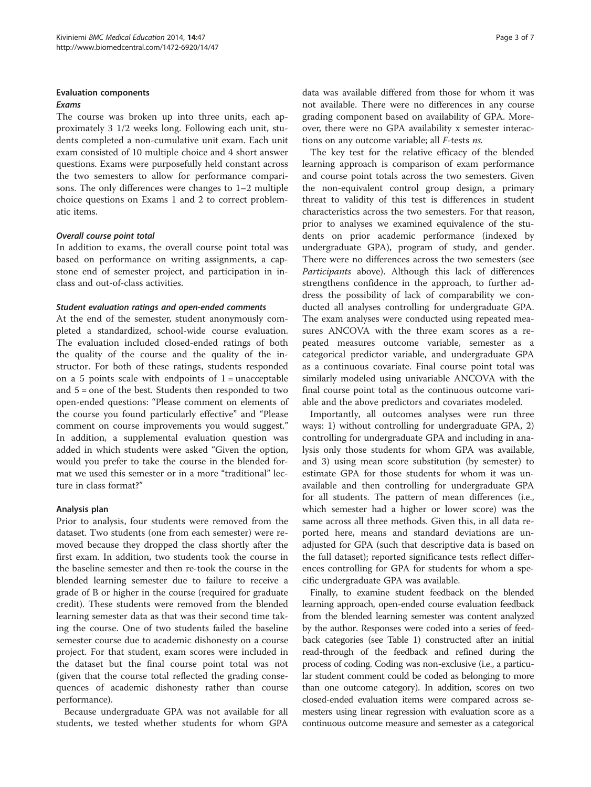## Evaluation components

## Exams

The course was broken up into three units, each approximately 3 1/2 weeks long. Following each unit, students completed a non-cumulative unit exam. Each unit exam consisted of 10 multiple choice and 4 short answer questions. Exams were purposefully held constant across the two semesters to allow for performance comparisons. The only differences were changes to 1–2 multiple choice questions on Exams 1 and 2 to correct problematic items.

#### Overall course point total

In addition to exams, the overall course point total was based on performance on writing assignments, a capstone end of semester project, and participation in inclass and out-of-class activities.

#### Student evaluation ratings and open-ended comments

At the end of the semester, student anonymously completed a standardized, school-wide course evaluation. The evaluation included closed-ended ratings of both the quality of the course and the quality of the instructor. For both of these ratings, students responded on a 5 points scale with endpoints of  $1 =$  unacceptable and 5 = one of the best. Students then responded to two open-ended questions: "Please comment on elements of the course you found particularly effective" and "Please comment on course improvements you would suggest." In addition, a supplemental evaluation question was added in which students were asked "Given the option, would you prefer to take the course in the blended format we used this semester or in a more "traditional" lecture in class format?"

## Analysis plan

Prior to analysis, four students were removed from the dataset. Two students (one from each semester) were removed because they dropped the class shortly after the first exam. In addition, two students took the course in the baseline semester and then re-took the course in the blended learning semester due to failure to receive a grade of B or higher in the course (required for graduate credit). These students were removed from the blended learning semester data as that was their second time taking the course. One of two students failed the baseline semester course due to academic dishonesty on a course project. For that student, exam scores were included in the dataset but the final course point total was not (given that the course total reflected the grading consequences of academic dishonesty rather than course performance).

Because undergraduate GPA was not available for all students, we tested whether students for whom GPA

data was available differed from those for whom it was not available. There were no differences in any course grading component based on availability of GPA. Moreover, there were no GPA availability x semester interactions on any outcome variable; all F-tests ns.

The key test for the relative efficacy of the blended learning approach is comparison of exam performance and course point totals across the two semesters. Given the non-equivalent control group design, a primary threat to validity of this test is differences in student characteristics across the two semesters. For that reason, prior to analyses we examined equivalence of the students on prior academic performance (indexed by undergraduate GPA), program of study, and gender. There were no differences across the two semesters (see [Participants](#page-1-0) above). Although this lack of differences strengthens confidence in the approach, to further address the possibility of lack of comparability we conducted all analyses controlling for undergraduate GPA. The exam analyses were conducted using repeated measures ANCOVA with the three exam scores as a repeated measures outcome variable, semester as a categorical predictor variable, and undergraduate GPA as a continuous covariate. Final course point total was similarly modeled using univariable ANCOVA with the final course point total as the continuous outcome variable and the above predictors and covariates modeled.

Importantly, all outcomes analyses were run three ways: 1) without controlling for undergraduate GPA, 2) controlling for undergraduate GPA and including in analysis only those students for whom GPA was available, and 3) using mean score substitution (by semester) to estimate GPA for those students for whom it was unavailable and then controlling for undergraduate GPA for all students. The pattern of mean differences (i.e., which semester had a higher or lower score) was the same across all three methods. Given this, in all data reported here, means and standard deviations are unadjusted for GPA (such that descriptive data is based on the full dataset); reported significance tests reflect differences controlling for GPA for students for whom a specific undergraduate GPA was available.

Finally, to examine student feedback on the blended learning approach, open-ended course evaluation feedback from the blended learning semester was content analyzed by the author. Responses were coded into a series of feedback categories (see Table [1](#page-3-0)) constructed after an initial read-through of the feedback and refined during the process of coding. Coding was non-exclusive (i.e., a particular student comment could be coded as belonging to more than one outcome category). In addition, scores on two closed-ended evaluation items were compared across semesters using linear regression with evaluation score as a continuous outcome measure and semester as a categorical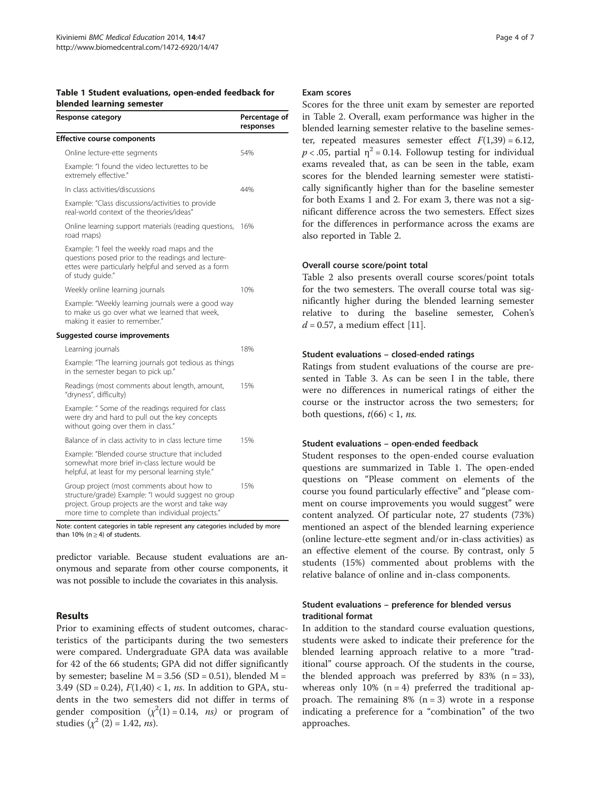<span id="page-3-0"></span>

| Table 1 Student evaluations, open-ended feedback for |  |
|------------------------------------------------------|--|
| blended learning semester                            |  |

| <b>Response category</b>                                                                                                                                                                                   | Percentage of<br>responses |  |
|------------------------------------------------------------------------------------------------------------------------------------------------------------------------------------------------------------|----------------------------|--|
| <b>Effective course components</b>                                                                                                                                                                         |                            |  |
| Online lecture-ette segments                                                                                                                                                                               | 54%                        |  |
| Example: "I found the video lecturettes to be<br>extremely effective."                                                                                                                                     |                            |  |
| In class activities/discussions                                                                                                                                                                            | 44%                        |  |
| Example: "Class discussions/activities to provide<br>real-world context of the theories/ideas"                                                                                                             |                            |  |
| Online learning support materials (reading questions,<br>road maps)                                                                                                                                        | 16%                        |  |
| Example: "I feel the weekly road maps and the<br>questions posed prior to the readings and lecture-<br>ettes were particularly helpful and served as a form<br>of study guide."                            |                            |  |
| Weekly online learning journals                                                                                                                                                                            | 10%                        |  |
| Example: "Weekly learning journals were a good way<br>to make us go over what we learned that week,<br>making it easier to remember."                                                                      |                            |  |
| Suggested course improvements                                                                                                                                                                              |                            |  |
| Learning journals                                                                                                                                                                                          | 18%                        |  |
| Example: "The learning journals got tedious as things<br>in the semester began to pick up."                                                                                                                |                            |  |
| Readings (most comments about length, amount,<br>"dryness", difficulty)                                                                                                                                    | 15%                        |  |
| Example: " Some of the readings required for class<br>were dry and hard to pull out the key concepts<br>without going over them in class."                                                                 |                            |  |
| Balance of in class activity to in class lecture time                                                                                                                                                      | 15%                        |  |
| Example: "Blended course structure that included<br>somewhat more brief in-class lecture would be<br>helpful, at least for my personal learning style."                                                    |                            |  |
| Group project (most comments about how to<br>structure/grade) Example: "I would suggest no group<br>project. Group projects are the worst and take way<br>more time to complete than individual projects." | 15%                        |  |

Note: content categories in table represent any categories included by more than 10% ( $n \geq 4$ ) of students.

predictor variable. Because student evaluations are anonymous and separate from other course components, it was not possible to include the covariates in this analysis.

## Results

Prior to examining effects of student outcomes, characteristics of the participants during the two semesters were compared. Undergraduate GPA data was available for 42 of the 66 students; GPA did not differ significantly by semester; baseline  $M = 3.56$  (SD = 0.51), blended  $M =$ 3.49 (SD = 0.24),  $F(1,40)$  < 1, *ns*. In addition to GPA, students in the two semesters did not differ in terms of gender composition  $(\chi^2(1) = 0.14, ns)$  or program of studies  $(\chi^2 (2) = 1.42, ns)$ .

#### Exam scores

Scores for the three unit exam by semester are reported in Table [2](#page-4-0). Overall, exam performance was higher in the blended learning semester relative to the baseline semester, repeated measures semester effect  $F(1,39) = 6.12$ ,  $p < .05$ , partial  $\eta^2 = 0.14$ . Followup testing for individual exams revealed that, as can be seen in the table, exam scores for the blended learning semester were statistically significantly higher than for the baseline semester for both Exams 1 and 2. For exam 3, there was not a significant difference across the two semesters. Effect sizes for the differences in performance across the exams are also reported in Table [2](#page-4-0).

#### Overall course score/point total

Table [2](#page-4-0) also presents overall course scores/point totals for the two semesters. The overall course total was significantly higher during the blended learning semester relative to during the baseline semester, Cohen's  $d = 0.57$ , a medium effect [\[11\]](#page-6-0).

#### Student evaluations – closed-ended ratings

Ratings from student evaluations of the course are presented in Table [3.](#page-4-0) As can be seen I in the table, there were no differences in numerical ratings of either the course or the instructor across the two semesters; for both questions,  $t(66) < 1$ , *ns.* 

#### Student evaluations – open-ended feedback

Student responses to the open-ended course evaluation questions are summarized in Table 1. The open-ended questions on "Please comment on elements of the course you found particularly effective" and "please comment on course improvements you would suggest" were content analyzed. Of particular note, 27 students (73%) mentioned an aspect of the blended learning experience (online lecture-ette segment and/or in-class activities) as an effective element of the course. By contrast, only 5 students (15%) commented about problems with the relative balance of online and in-class components.

## Student evaluations – preference for blended versus traditional format

In addition to the standard course evaluation questions, students were asked to indicate their preference for the blended learning approach relative to a more "traditional" course approach. Of the students in the course, the blended approach was preferred by 83%  $(n = 33)$ , whereas only 10%  $(n = 4)$  preferred the traditional approach. The remaining  $8\%$  (n = 3) wrote in a response indicating a preference for a "combination" of the two approaches.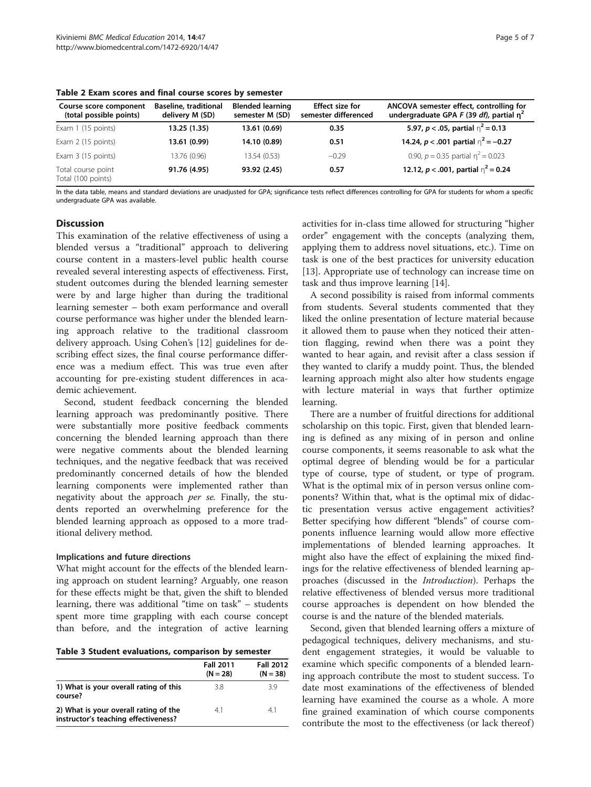| Course score component<br>(total possible points) | Baseline, traditional<br>delivery M (SD) | <b>Blended learning</b><br>semester M (SD) | <b>Effect size for</b><br>semester differenced | ANCOVA semester effect, controlling for<br>undergraduate GPA F (39 df), partial $n^2$ |
|---------------------------------------------------|------------------------------------------|--------------------------------------------|------------------------------------------------|---------------------------------------------------------------------------------------|
| Exam 1 (15 points)                                | 13.25 (1.35)                             | 13.61 (0.69)                               | 0.35                                           | 5.97, $p < .05$ , partial $n^2 = 0.13$                                                |
| Exam 2 (15 points)                                | 13.61 (0.99)                             | 14.10 (0.89)                               | 0.51                                           | 14.24, $p < .001$ partial $n^2 = -0.27$                                               |
| Exam 3 (15 points)                                | 13.76 (0.96)                             | 13.54 (0.53)                               | $-0.29$                                        | 0.90, $p = 0.35$ partial $n^2 = 0.023$                                                |
| Total course point<br>Total (100 points)          | 91.76 (4.95)                             | 93.92 (2.45)                               | 0.57                                           | 12.12, $p < .001$ , partial $n^2 = 0.24$                                              |

<span id="page-4-0"></span>Table 2 Exam scores and final course scores by semester

In the data table, means and standard deviations are unadjusted for GPA; significance tests reflect differences controlling for GPA for students for whom a specific undergraduate GPA was available.

## **Discussion**

This examination of the relative effectiveness of using a blended versus a "traditional" approach to delivering course content in a masters-level public health course revealed several interesting aspects of effectiveness. First, student outcomes during the blended learning semester were by and large higher than during the traditional learning semester – both exam performance and overall course performance was higher under the blended learning approach relative to the traditional classroom delivery approach. Using Cohen's [\[12\]](#page-6-0) guidelines for describing effect sizes, the final course performance difference was a medium effect. This was true even after accounting for pre-existing student differences in academic achievement.

Second, student feedback concerning the blended learning approach was predominantly positive. There were substantially more positive feedback comments concerning the blended learning approach than there were negative comments about the blended learning techniques, and the negative feedback that was received predominantly concerned details of how the blended learning components were implemented rather than negativity about the approach per se. Finally, the students reported an overwhelming preference for the blended learning approach as opposed to a more traditional delivery method.

#### Implications and future directions

What might account for the effects of the blended learning approach on student learning? Arguably, one reason for these effects might be that, given the shift to blended learning, there was additional "time on task" – students spent more time grappling with each course concept than before, and the integration of active learning

Table 3 Student evaluations, comparison by semester

|                                                                               | <b>Fall 2011</b><br>$(N = 28)$ | <b>Fall 2012</b><br>$(N = 38)$ |
|-------------------------------------------------------------------------------|--------------------------------|--------------------------------|
| 1) What is your overall rating of this<br>course?                             | 3.8                            | 39                             |
| 2) What is your overall rating of the<br>instructor's teaching effectiveness? | 41                             | 41                             |

activities for in-class time allowed for structuring "higher order" engagement with the concepts (analyzing them, applying them to address novel situations, etc.). Time on task is one of the best practices for university education [[13\]](#page-6-0). Appropriate use of technology can increase time on task and thus improve learning [\[14](#page-6-0)].

A second possibility is raised from informal comments from students. Several students commented that they liked the online presentation of lecture material because it allowed them to pause when they noticed their attention flagging, rewind when there was a point they wanted to hear again, and revisit after a class session if they wanted to clarify a muddy point. Thus, the blended learning approach might also alter how students engage with lecture material in ways that further optimize learning.

There are a number of fruitful directions for additional scholarship on this topic. First, given that blended learning is defined as any mixing of in person and online course components, it seems reasonable to ask what the optimal degree of blending would be for a particular type of course, type of student, or type of program. What is the optimal mix of in person versus online components? Within that, what is the optimal mix of didactic presentation versus active engagement activities? Better specifying how different "blends" of course components influence learning would allow more effective implementations of blended learning approaches. It might also have the effect of explaining the mixed findings for the relative effectiveness of blended learning approaches (discussed in the Introduction). Perhaps the relative effectiveness of blended versus more traditional course approaches is dependent on how blended the course is and the nature of the blended materials.

Second, given that blended learning offers a mixture of pedagogical techniques, delivery mechanisms, and student engagement strategies, it would be valuable to examine which specific components of a blended learning approach contribute the most to student success. To date most examinations of the effectiveness of blended learning have examined the course as a whole. A more fine grained examination of which course components contribute the most to the effectiveness (or lack thereof)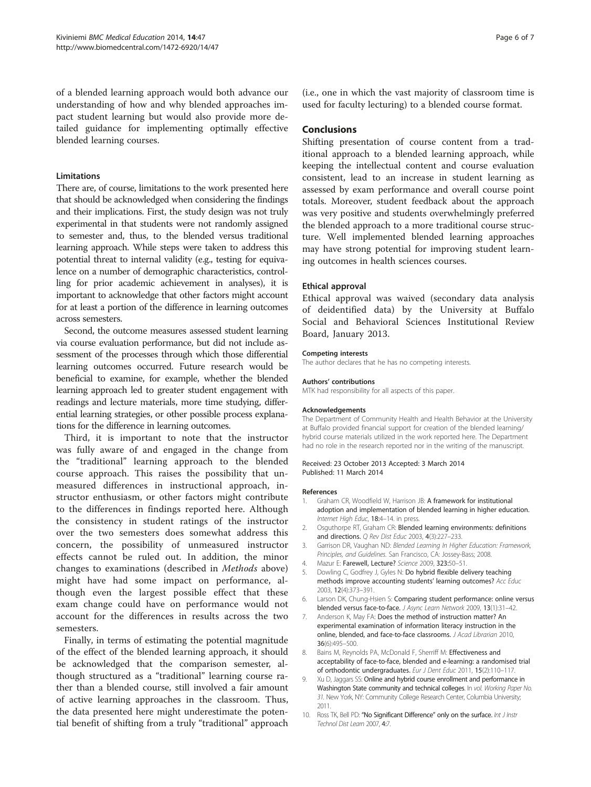<span id="page-5-0"></span>of a blended learning approach would both advance our understanding of how and why blended approaches impact student learning but would also provide more detailed guidance for implementing optimally effective blended learning courses.

#### Limitations

There are, of course, limitations to the work presented here that should be acknowledged when considering the findings and their implications. First, the study design was not truly experimental in that students were not randomly assigned to semester and, thus, to the blended versus traditional learning approach. While steps were taken to address this potential threat to internal validity (e.g., testing for equivalence on a number of demographic characteristics, controlling for prior academic achievement in analyses), it is important to acknowledge that other factors might account for at least a portion of the difference in learning outcomes across semesters.

Second, the outcome measures assessed student learning via course evaluation performance, but did not include assessment of the processes through which those differential learning outcomes occurred. Future research would be beneficial to examine, for example, whether the blended learning approach led to greater student engagement with readings and lecture materials, more time studying, differential learning strategies, or other possible process explanations for the difference in learning outcomes.

Third, it is important to note that the instructor was fully aware of and engaged in the change from the "traditional" learning approach to the blended course approach. This raises the possibility that unmeasured differences in instructional approach, instructor enthusiasm, or other factors might contribute to the differences in findings reported here. Although the consistency in student ratings of the instructor over the two semesters does somewhat address this concern, the possibility of unmeasured instructor effects cannot be ruled out. In addition, the minor changes to examinations (described in [Methods](#page-1-0) above) might have had some impact on performance, although even the largest possible effect that these exam change could have on performance would not account for the differences in results across the two semesters.

Finally, in terms of estimating the potential magnitude of the effect of the blended learning approach, it should be acknowledged that the comparison semester, although structured as a "traditional" learning course rather than a blended course, still involved a fair amount of active learning approaches in the classroom. Thus, the data presented here might underestimate the potential benefit of shifting from a truly "traditional" approach (i.e., one in which the vast majority of classroom time is used for faculty lecturing) to a blended course format.

#### **Conclusions**

Shifting presentation of course content from a traditional approach to a blended learning approach, while keeping the intellectual content and course evaluation consistent, lead to an increase in student learning as assessed by exam performance and overall course point totals. Moreover, student feedback about the approach was very positive and students overwhelmingly preferred the blended approach to a more traditional course structure. Well implemented blended learning approaches may have strong potential for improving student learning outcomes in health sciences courses.

#### Ethical approval

Ethical approval was waived (secondary data analysis of deidentified data) by the University at Buffalo Social and Behavioral Sciences Institutional Review Board, January 2013.

#### Competing interests

The author declares that he has no competing interests.

#### Authors' contributions

MTK had responsibility for all aspects of this paper.

#### Acknowledgements

The Department of Community Health and Health Behavior at the University at Buffalo provided financial support for creation of the blended learning/ hybrid course materials utilized in the work reported here. The Department had no role in the research reported nor in the writing of the manuscript.

#### Received: 23 October 2013 Accepted: 3 March 2014 Published: 11 March 2014

#### References

- 1. Graham CR, Woodfield W, Harrison JB: A framework for institutional adoption and implementation of blended learning in higher education. Internet High Educ, 18:4–14. in press.
- 2. Osquthorpe RT, Graham CR: Blended learning environments: definitions and directions. Q Rev Dist Educ 2003, 4(3):227–233.
- 3. Garrison DR, Vaughan ND: Blended Learning In Higher Education: Framework, Principles, and Guidelines. San Francisco, CA: Jossey-Bass; 2008.
- 4. Mazur E: Farewell, Lecture? Science 2009, 323:50–51.
- 5. Dowling C, Godfrey J, Gyles N: Do hybrid flexible delivery teaching methods improve accounting students' learning outcomes? Acc Educ 2003, 12(4):373–391.
- 6. Larson DK, Chung-Hsien S: Comparing student performance: online versus blended versus face-to-face. J Async Learn Network 2009, 13(1):31–42.
- 7. Anderson K, May FA: Does the method of instruction matter? An experimental examination of information literacy instruction in the online, blended, and face-to-face classrooms. J Acad Librarian 2010, 36(6):495–500.
- 8. Bains M, Reynolds PA, McDonald F, Sherriff M: Effectiveness and acceptability of face-to-face, blended and e-learning: a randomised trial of orthodontic undergraduates. Eur J Dent Educ 2011, 15(2):110-117.
- 9. Xu D, Jaggars SS: Online and hybrid course enrollment and performance in Washington State community and technical colleges. In vol. Working Paper No. 31. New York, NY: Community College Research Center, Columbia University; 2011.
- 10. Ross TK, Bell PD: "No Significant Difference" only on the surface. Int J Instr Technol Dist Learn 2007, 4:7.